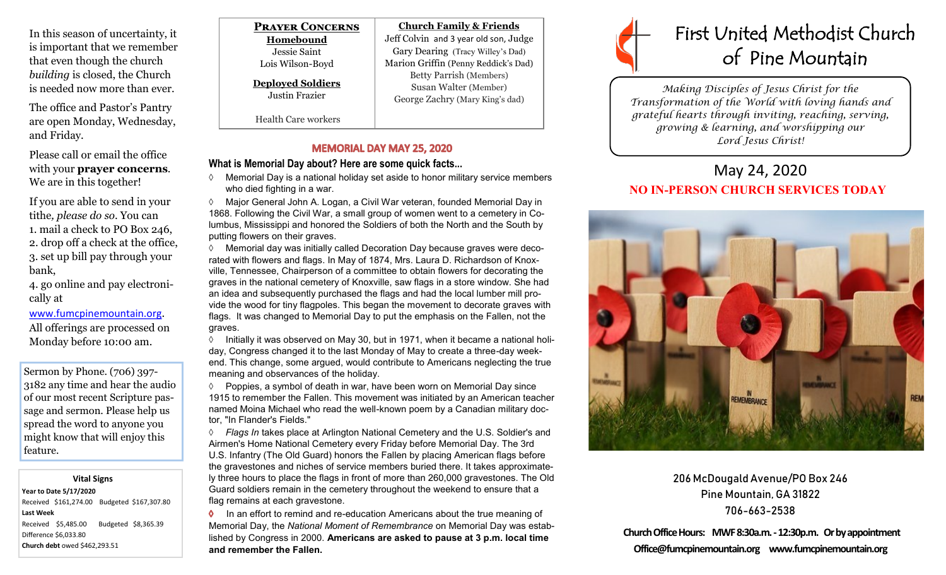In this season of uncertainty, it is important that we remember that even though the church *building* is closed, the Church is needed now more than ever.

The office and Pastor's Pantry are open Monday, Wednesday, and Friday.

Please call or email the office with your **prayer concerns**. We are in this together!

If you are able to send in your tithe*, please do so*. You can 1. mail a check to PO Box 246, 2. drop off a check at the office, 3. set up bill pay through your bank,

4. go online and pay electronically at

#### [www.fumcpinemountain.org](http://www.fumcpinemountain.org).

All offerings are processed on Monday before 10:00 am.

Sermon by Phone. (706) 397- 3182 any time and hear the audio of our most recent Scripture passage and sermon. Please help us spread the word to anyone you might know that will enjoy this feature.

#### **Vital Signs**

**Year to Date 5/17/2020**  Received \$161,274.00 Budgeted \$167,307.80 **Last Week**  Received \$5,485.00 Budgeted \$8,365.39 Difference \$6,033.80 **Church debt** owed \$462,293.51

| <b>PRAYER CONCERNS</b>                     | <b>Church Family &amp; Friends</b>                                                         |
|--------------------------------------------|--------------------------------------------------------------------------------------------|
| Homebound                                  | Jeff Colvin and 3 year old son, Judge                                                      |
| Jessie Saint                               | Gary Dearing (Tracy Willey's Dad)                                                          |
| Lois Wilson-Boyd                           | Marion Griffin (Penny Reddick's Dad)                                                       |
| <b>Deployed Soldiers</b><br>Justin Frazier | <b>Betty Parrish (Members)</b><br>Susan Walter (Member)<br>George Zachry (Mary King's dad) |
| <b>Health Care workers</b>                 |                                                                                            |

#### **MEMORIAL DAY MAY 25, 2020**

### **What is Memorial Day about? Here are some quick facts...**

 Memorial Day is a national holiday set aside to honor military service members who died fighting in a war.

 Major General John A. Logan, a Civil War veteran, founded Memorial Day in 1868. Following the Civil War, a small group of women went to a cemetery in Columbus, Mississippi and honored the Soldiers of both the North and the South by putting flowers on their graves.

 $\Diamond$  Memorial day was initially called Decoration Day because graves were decorated with flowers and flags. In May of 1874, Mrs. Laura D. Richardson of Knoxville, Tennessee, Chairperson of a committee to obtain flowers for decorating the graves in the national cemetery of Knoxville, saw flags in a store window. She had an idea and subsequently purchased the flags and had the local lumber mill provide the wood for tiny flagpoles. This began the movement to decorate graves with flags. It was changed to Memorial Day to put the emphasis on the Fallen, not the graves.

 $\Diamond$  Initially it was observed on May 30, but in 1971, when it became a national holiday, Congress changed it to the last Monday of May to create a three-day weekend. This change, some argued, would contribute to Americans neglecting the true meaning and observances of the holiday.

 $\Diamond$  Poppies, a symbol of death in war, have been worn on Memorial Day since 1915 to remember the Fallen. This movement was initiated by an American teacher named Moina Michael who read the well-known poem by a Canadian military doctor, "In Flander's Fields."

 *Flags In* takes place at Arlington National Cemetery and the U.S. Soldier's and Airmen's Home National Cemetery every Friday before Memorial Day. The 3rd U.S. Infantry (The Old Guard) honors the Fallen by placing American flags before the gravestones and niches of service members buried there. It takes approximately three hours to place the flags in front of more than 260,000 gravestones. The Old Guard soldiers remain in the cemetery throughout the weekend to ensure that a flag remains at each gravestone.

**In an effort to remind and re-education Americans about the true meaning of** Memorial Day, the *National Moment of Remembrance* on Memorial Day was established by Congress in 2000. **Americans are asked to pause at 3 p.m. local time and remember the Fallen.**



*Making Disciples of Jesus Christ for the Transformation of the World with loving hands and grateful hearts through inviting, reaching, serving, growing & learning, and worshipping our Lord Jesus Christ!* 

## May 24, 2020 **NO IN-PERSON CHURCH SERVICES TODAY**



206 McDougald Avenue/PO Box 246 Pine Mountain, GA 31822 706-663-2538

**Church Office Hours: MWF 8:30a.m. -12:30p.m. Or by appointment Office@fumcpinemountain.org www.fumcpinemountain.org**